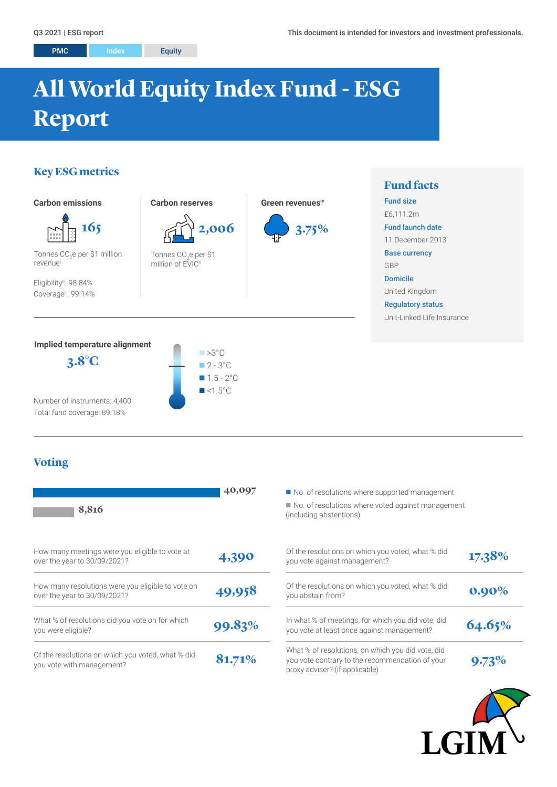# **All World Equity Index Fund - ESG Report**

# **Key ESG metrics**



# **Voting**

Total fund coverage: 89.18%

| 8,816                                                                             | 40,097 | No. of resolutions where supported management<br>■ No. of resolutions where voted against management<br>(including abstentions)        |          |
|-----------------------------------------------------------------------------------|--------|----------------------------------------------------------------------------------------------------------------------------------------|----------|
| How many meetings were you eligible to vote at<br>over the year to 30/09/2021?    | 4,390  | Of the resolutions on which you voted, what % did<br>you vote against management?                                                      | 17.38%   |
| How many resolutions were you eligible to vote on<br>over the year to 30/09/2021? | 49,958 | Of the resolutions on which you voted, what % did<br>you abstain from?                                                                 | $0.90\%$ |
| What % of resolutions did you vote on for which<br>you were eligible?             | 99.83% | In what % of meetings, for which you did vote, did<br>you vote at least once against management?                                       | 64.65%   |
| Of the resolutions on which you voted, what % did<br>you vote with management?    | 81.71% | What % of resolutions, on which you did vote, did<br>you vote contrary to the recommendation of your<br>proxy adviser? (if applicable) | 9.73%    |

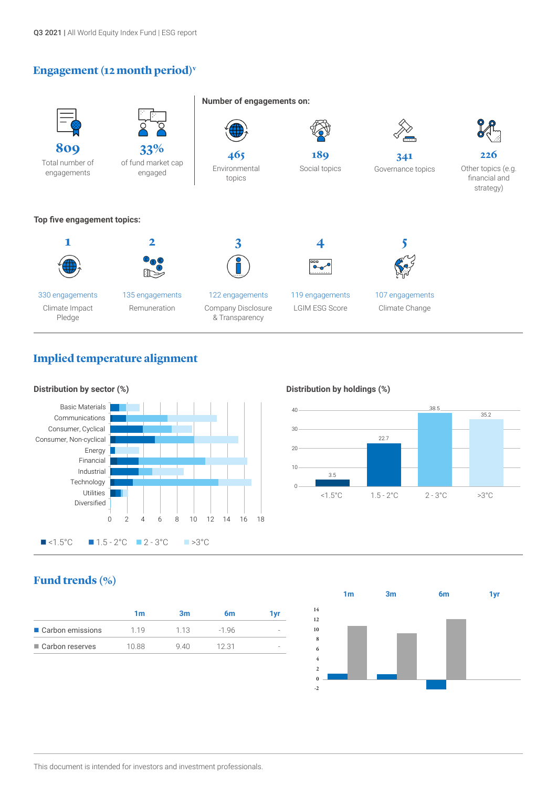## **Engagement (12 month period)v**



# **Implied temperature alignment**



#### **Distribution by holdings (%)**



# **Fund trends (%)**

| ■ Carbon emissions<br>119 | 1 1 3 | $-196$ |  |
|---------------------------|-------|--------|--|
| ■ Carbon reserves<br>1088 | 940   | 12.31  |  |

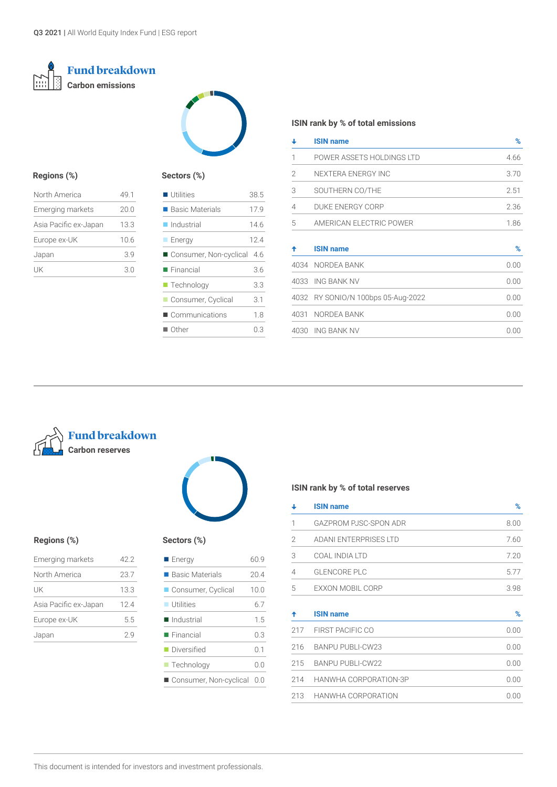# **Fund breakdown Carbon emissions**



#### **Regions (%)**

| North America           | 49.1 |
|-------------------------|------|
| <b>Emerging markets</b> | 20.0 |
| Asia Pacific ex-Japan   | 13.3 |
| Europe ex-UK            | 10.6 |
| Japan                   | 3.9  |
| uk                      | 3.0  |

#### **Sectors (%)**

| $\blacksquare$ Utilities       | 38.5 |
|--------------------------------|------|
| $\blacksquare$ Basic Materials | 17.9 |
| $\blacksquare$ Industrial      | 146  |
| <b>Energy</b>                  | 124  |
| Consumer, Non-cyclical         | -4.6 |
| $\blacksquare$ Financial       | 3.6  |
| $\blacksquare$ Technology      | 3.3  |
| Consumer, Cyclical             | 3.1  |
| ■ Communications               | 18   |
| $\blacksquare$ Other           | 03   |

#### **ISIN rank by % of total emissions**

| ┹              | <b>ISIN name</b>                   | %    |
|----------------|------------------------------------|------|
| 1              | POWER ASSETS HOLDINGS LTD          | 4.66 |
| 2              | NEXTERA ENERGY INC                 | 3.70 |
| 3              | SOUTHERN CO/THE                    | 2.51 |
| $\overline{4}$ | DUKE ENERGY CORP                   | 2.36 |
| 5              | AMERICAN ELECTRIC POWER            | 1.86 |
| ↟              | <b>ISIN name</b>                   | %    |
|                | 4034 NORDEA BANK                   | 0.00 |
|                | 4033 ING BANK NV                   | 0.00 |
|                | 4032 RY SONIO/N 100bps 05-Aug-2022 | 0.00 |
|                | 4031 NORDEA BANK                   | 0.00 |
|                | 4030 ING BANK NV                   | 0.00 |



# **Regions (%) Sectors (%)**

| Emerging markets      | 42.2 |
|-----------------------|------|
| North America         | 23.7 |
| UK                    | 13.3 |
| Asia Pacific ex-Japan | 124  |
| Europe ex-UK          | 5.5  |
| Japan                 | 29   |
|                       |      |



| ectors (%) |  |
|------------|--|
|            |  |

| <b>Energy</b>             | 60.9 |
|---------------------------|------|
| ■ Basic Materials         | 20.4 |
| Consumer, Cyclical        | 10.0 |
| $\blacksquare$ Utilities  | 6.7  |
| ■ Industrial              | 1.5  |
| $\blacksquare$ Financial  | 0.3  |
| <b>Diversified</b>        | ი 1  |
| $\blacksquare$ Technology | 0.0  |
| Consumer, Non-cyclical    | 0.0  |

#### **ISIN rank by % of total reserves**

| ↓              | <b>ISIN name</b>        | %    |
|----------------|-------------------------|------|
| 1              | GAZPROM PJSC-SPON ADR   | 8.00 |
| 2              | ADANI ENTERPRISES LTD   | 7.60 |
| 3              | COAL INDIA LTD          | 7.20 |
| $\overline{4}$ | <b>GLENCORE PLC</b>     | 5.77 |
| 5              | EXXON MOBIL CORP        | 3.98 |
| ↟              | <b>ISIN name</b>        | $\%$ |
| 217            | <b>FIRST PACIFIC CO</b> | 0.00 |
| 216            | <b>BANPU PUBLI-CW23</b> | 0.00 |
| 215            | <b>BANPU PUBLI-CW22</b> | 0.00 |
| 214            | HANWHA CORPORATION-3P   | 0.00 |
| 213            | HANWHA CORPORATION      | 0.00 |